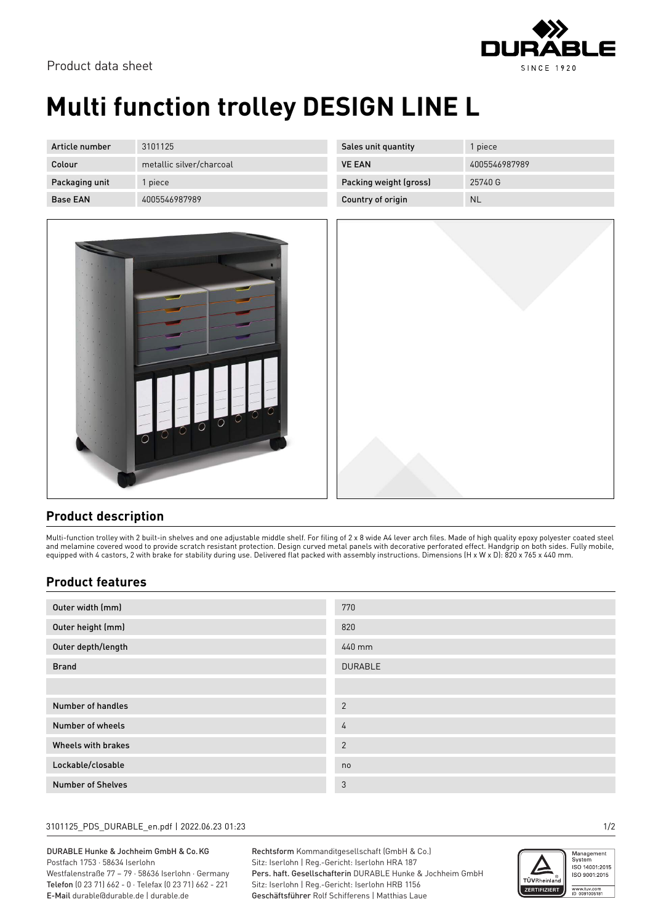

# **Multi function trolley DESIGN LINE L**

| Article number  | 3101125                  |
|-----------------|--------------------------|
| Colour          | metallic silver/charcoal |
| Packaging unit  | 1 piece                  |
| <b>Base FAN</b> | 4005546987989            |



| Sales unit quantity    | 1 piece       |
|------------------------|---------------|
| <b>VE FAN</b>          | 4005546987989 |
| Packing weight (gross) | 25740 G       |
| Country of origin      | NI.           |



## **Product description**

Multi-function trolley with 2 built-in shelves and one adjustable middle shelf. For filing of 2 x 8 wide A4 lever arch files. Made of high quality epoxy polyester coated steel and melamine covered wood to provide scratch resistant protection. Design curved metal panels with decorative perforated effect. Handgrip on both sides. Fully mobile, equipped with 4 castors, 2 with brake for stability during use. Delivered flat packed with assembly instructions. Dimensions (H x W x D): 820 x 765 x 440 mm.

## **Product features**

| Outer width (mm)         | 770            |
|--------------------------|----------------|
| Outer height (mm)        | 820            |
| Outer depth/length       | 440 mm         |
| <b>Brand</b>             | <b>DURABLE</b> |
|                          |                |
| Number of handles        | $\overline{2}$ |
| Number of wheels         | 4              |
| Wheels with brakes       | $\overline{2}$ |
| Lockable/closable        | no             |
| <b>Number of Shelves</b> | 3              |

### 3101125\_PDS\_DURABLE\_en.pdf | 2022.06.23 01:23 1/2

DURABLE Hunke & Jochheim GmbH & Co.KG Postfach 1753 · 58634 Iserlohn

Westfalenstraße 77 – 79 · 58636 Iserlohn · Germany Telefon (0 23 71) 662 - 0 · Telefax (0 23 71) 662 - 221 E-Mail durable@durable.de | durable.de

Rechtsform Kommanditgesellschaft (GmbH & Co.) Sitz: Iserlohn | Reg.-Gericht: Iserlohn HRA 187 Pers. haft. Gesellschafterin DURABLE Hunke & Jochheim GmbH Sitz: Iserlohn | Reg.-Gericht: Iserlohn HRB 1156 Geschäftsführer Rolf Schifferens | Matthias Laue